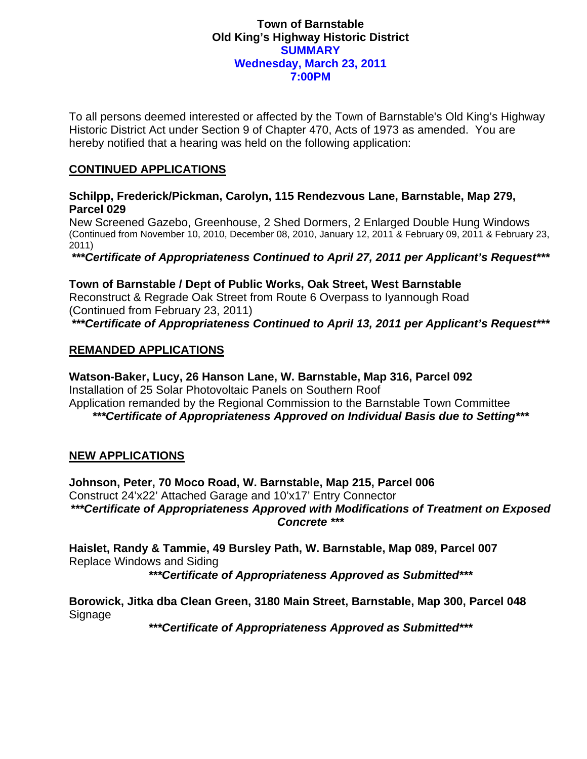### **Town of Barnstable Old King's Highway Historic District SUMMARY Wednesday, March 23, 2011 7:00PM**

To all persons deemed interested or affected by the Town of Barnstable's Old King's Highway Historic District Act under Section 9 of Chapter 470, Acts of 1973 as amended. You are hereby notified that a hearing was held on the following application:

# **CONTINUED APPLICATIONS**

#### **Schilpp, Frederick/Pickman, Carolyn, 115 Rendezvous Lane, Barnstable, Map 279, Parcel 029**

New Screened Gazebo, Greenhouse, 2 Shed Dormers, 2 Enlarged Double Hung Windows (Continued from November 10, 2010, December 08, 2010, January 12, 2011 & February 09, 2011 & February 23, 2011)

*\*\*\*Certificate of Appropriateness Continued to April 27, 2011 per Applicant's Request\*\*\** 

# **Town of Barnstable / Dept of Public Works, Oak Street, West Barnstable**

Reconstruct & Regrade Oak Street from Route 6 Overpass to Iyannough Road (Continued from February 23, 2011) *\*\*\*Certificate of Appropriateness Continued to April 13, 2011 per Applicant's Request\*\*\** 

#### **REMANDED APPLICATIONS**

**Watson-Baker, Lucy, 26 Hanson Lane, W. Barnstable, Map 316, Parcel 092**  Installation of 25 Solar Photovoltaic Panels on Southern Roof Application remanded by the Regional Commission to the Barnstable Town Committee *\*\*\*Certificate of Appropriateness Approved on Individual Basis due to Setting\*\*\** 

# **NEW APPLICATIONS**

**Johnson, Peter, 70 Moco Road, W. Barnstable, Map 215, Parcel 006**  Construct 24'x22' Attached Garage and 10'x17' Entry Connector *\*\*\*Certificate of Appropriateness Approved with Modifications of Treatment on Exposed Concrete \*\*\** 

**Haislet, Randy & Tammie, 49 Bursley Path, W. Barnstable, Map 089, Parcel 007**  Replace Windows and Siding

*\*\*\*Certificate of Appropriateness Approved as Submitted\*\*\** 

**Borowick, Jitka dba Clean Green, 3180 Main Street, Barnstable, Map 300, Parcel 048**  Signage

*\*\*\*Certificate of Appropriateness Approved as Submitted\*\*\**